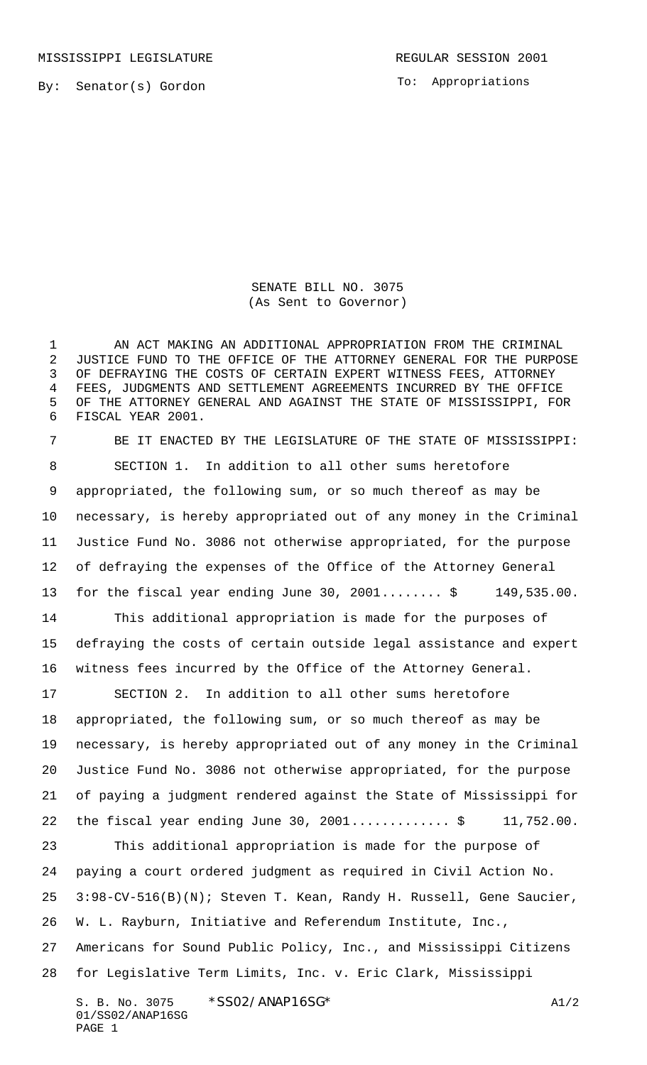MISSISSIPPI LEGISLATURE **REGULAR SESSION 2001** 

PAGE 1

To: Appropriations

SENATE BILL NO. 3075 (As Sent to Governor)

1 AN ACT MAKING AN ADDITIONAL APPROPRIATION FROM THE CRIMINAL JUSTICE FUND TO THE OFFICE OF THE ATTORNEY GENERAL FOR THE PURPOSE OF DEFRAYING THE COSTS OF CERTAIN EXPERT WITNESS FEES, ATTORNEY FEES, JUDGMENTS AND SETTLEMENT AGREEMENTS INCURRED BY THE OFFICE OF THE ATTORNEY GENERAL AND AGAINST THE STATE OF MISSISSIPPI, FOR FISCAL YEAR 2001.

S. B. No. 3075 \* SSO2/ANAP16SG\* A1/2 01/SS02/ANAP16SG BE IT ENACTED BY THE LEGISLATURE OF THE STATE OF MISSISSIPPI: SECTION 1. In addition to all other sums heretofore appropriated, the following sum, or so much thereof as may be necessary, is hereby appropriated out of any money in the Criminal Justice Fund No. 3086 not otherwise appropriated, for the purpose of defraying the expenses of the Office of the Attorney General for the fiscal year ending June 30, 2001........ \$ 149,535.00. This additional appropriation is made for the purposes of defraying the costs of certain outside legal assistance and expert witness fees incurred by the Office of the Attorney General. SECTION 2. In addition to all other sums heretofore appropriated, the following sum, or so much thereof as may be necessary, is hereby appropriated out of any money in the Criminal Justice Fund No. 3086 not otherwise appropriated, for the purpose of paying a judgment rendered against the State of Mississippi for 22 the fiscal year ending June 30, ................\$ 11,752.00. This additional appropriation is made for the purpose of paying a court ordered judgment as required in Civil Action No. 3:98-CV-516(B)(N); Steven T. Kean, Randy H. Russell, Gene Saucier, W. L. Rayburn, Initiative and Referendum Institute, Inc., Americans for Sound Public Policy, Inc., and Mississippi Citizens for Legislative Term Limits, Inc. v. Eric Clark, Mississippi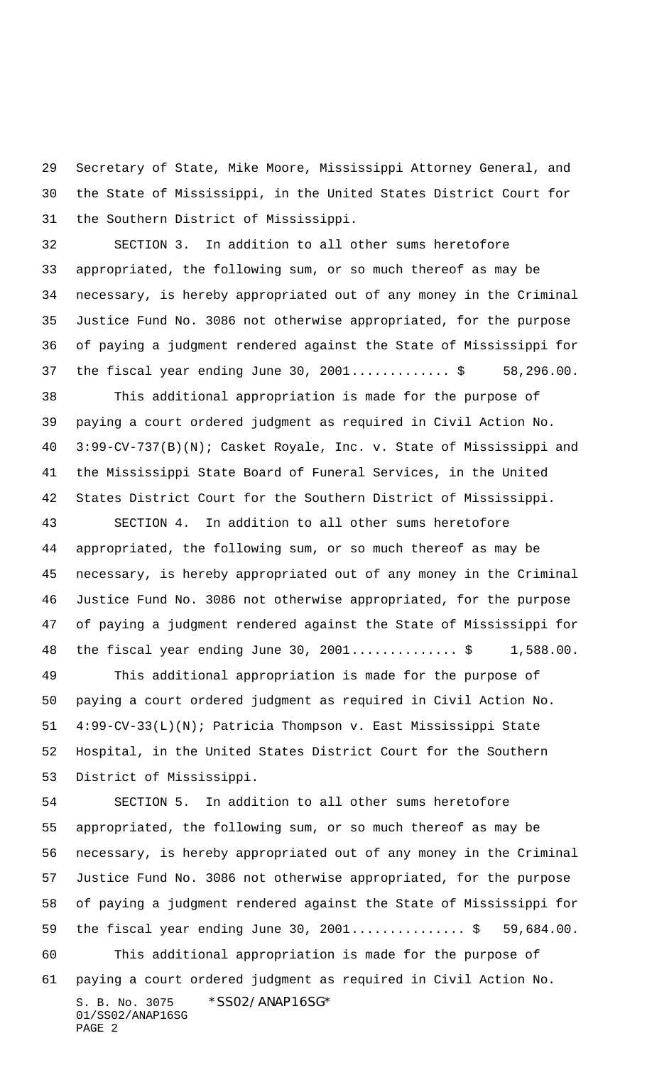Secretary of State, Mike Moore, Mississippi Attorney General, and the State of Mississippi, in the United States District Court for the Southern District of Mississippi.

 SECTION 3. In addition to all other sums heretofore appropriated, the following sum, or so much thereof as may be necessary, is hereby appropriated out of any money in the Criminal Justice Fund No. 3086 not otherwise appropriated, for the purpose of paying a judgment rendered against the State of Mississippi for 37 the fiscal year ending June 30, 2001...............\$ 58,296.00. This additional appropriation is made for the purpose of paying a court ordered judgment as required in Civil Action No. 3:99-CV-737(B)(N); Casket Royale, Inc. v. State of Mississippi and

 the Mississippi State Board of Funeral Services, in the United States District Court for the Southern District of Mississippi.

 SECTION 4. In addition to all other sums heretofore appropriated, the following sum, or so much thereof as may be necessary, is hereby appropriated out of any money in the Criminal Justice Fund No. 3086 not otherwise appropriated, for the purpose of paying a judgment rendered against the State of Mississippi for 48 the fiscal year ending June 30, 2001................\$ 1,588.00.

 This additional appropriation is made for the purpose of paying a court ordered judgment as required in Civil Action No. 4:99-CV-33(L)(N); Patricia Thompson v. East Mississippi State Hospital, in the United States District Court for the Southern District of Mississippi.

S. B. No. 3075 \*SS02/ANAP16SG\* 01/SS02/ANAP16SG PAGE 2 SECTION 5. In addition to all other sums heretofore appropriated, the following sum, or so much thereof as may be necessary, is hereby appropriated out of any money in the Criminal Justice Fund No. 3086 not otherwise appropriated, for the purpose of paying a judgment rendered against the State of Mississippi for 59 the fiscal year ending June 30, 2001..................\$ 59,684.00. This additional appropriation is made for the purpose of paying a court ordered judgment as required in Civil Action No.